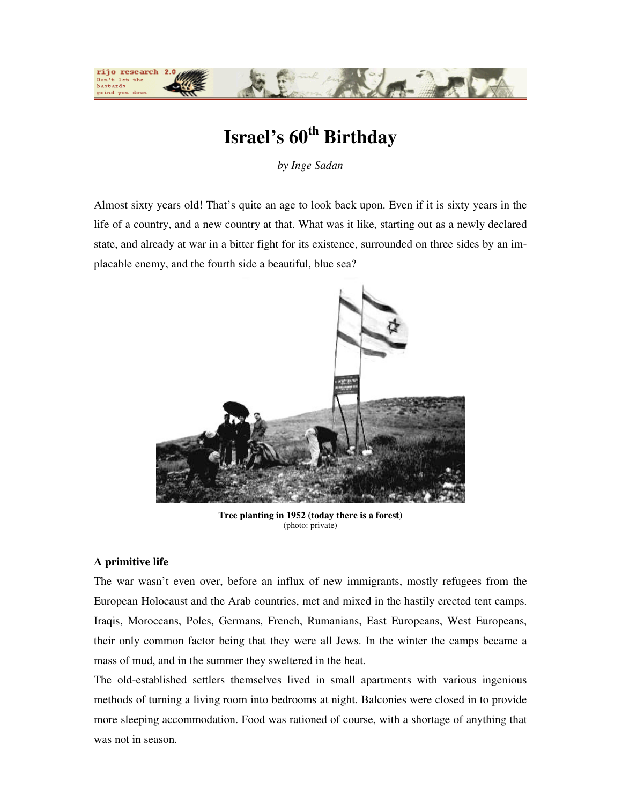

# **Israel's 60th Birthday**

*by Inge Sadan* 

Almost sixty years old! That's quite an age to look back upon. Even if it is sixty years in the life of a country, and a new country at that. What was it like, starting out as a newly declared state, and already at war in a bitter fight for its existence, surrounded on three sides by an implacable enemy, and the fourth side a beautiful, blue sea?



**Tree planting in 1952 (today there is a forest)**  (photo: private)

## **A primitive life**

The war wasn't even over, before an influx of new immigrants, mostly refugees from the European Holocaust and the Arab countries, met and mixed in the hastily erected tent camps. Iraqis, Moroccans, Poles, Germans, French, Rumanians, East Europeans, West Europeans, their only common factor being that they were all Jews. In the winter the camps became a mass of mud, and in the summer they sweltered in the heat.

The old-established settlers themselves lived in small apartments with various ingenious methods of turning a living room into bedrooms at night. Balconies were closed in to provide more sleeping accommodation. Food was rationed of course, with a shortage of anything that was not in season.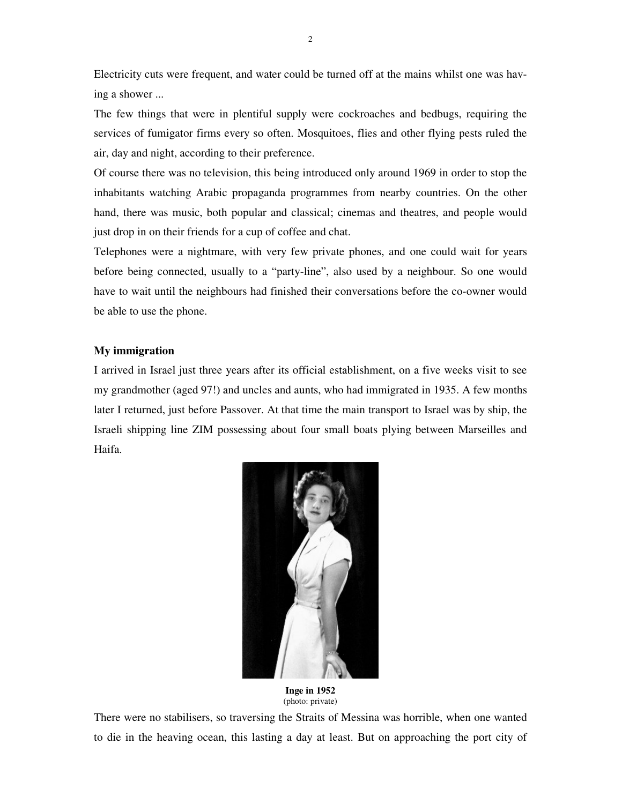Electricity cuts were frequent, and water could be turned off at the mains whilst one was having a shower ...

The few things that were in plentiful supply were cockroaches and bedbugs, requiring the services of fumigator firms every so often. Mosquitoes, flies and other flying pests ruled the air, day and night, according to their preference.

Of course there was no television, this being introduced only around 1969 in order to stop the inhabitants watching Arabic propaganda programmes from nearby countries. On the other hand, there was music, both popular and classical; cinemas and theatres, and people would just drop in on their friends for a cup of coffee and chat.

Telephones were a nightmare, with very few private phones, and one could wait for years before being connected, usually to a "party-line", also used by a neighbour. So one would have to wait until the neighbours had finished their conversations before the co-owner would be able to use the phone.

## **My immigration**

I arrived in Israel just three years after its official establishment, on a five weeks visit to see my grandmother (aged 97!) and uncles and aunts, who had immigrated in 1935. A few months later I returned, just before Passover. At that time the main transport to Israel was by ship, the Israeli shipping line ZIM possessing about four small boats plying between Marseilles and Haifa.



**Inge in 1952**  (photo: private)

There were no stabilisers, so traversing the Straits of Messina was horrible, when one wanted to die in the heaving ocean, this lasting a day at least. But on approaching the port city of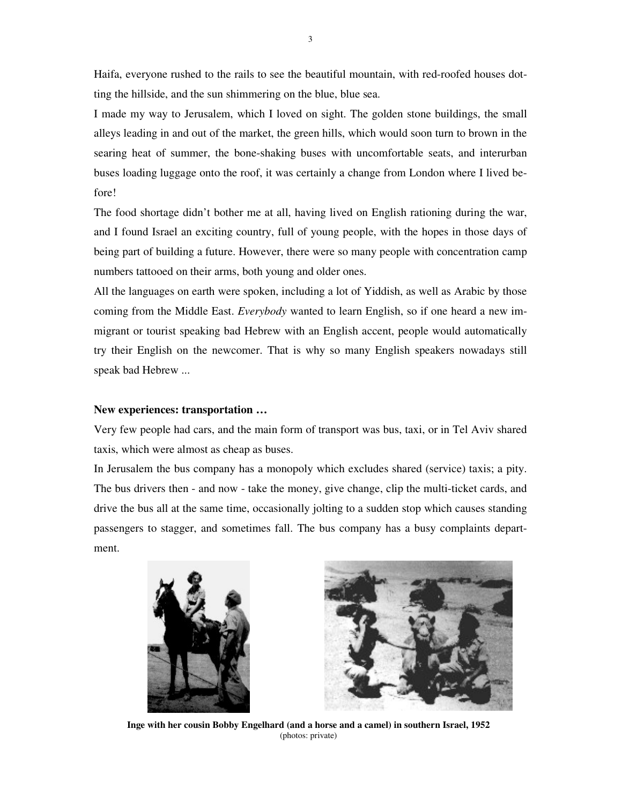Haifa, everyone rushed to the rails to see the beautiful mountain, with red-roofed houses dotting the hillside, and the sun shimmering on the blue, blue sea.

I made my way to Jerusalem, which I loved on sight. The golden stone buildings, the small alleys leading in and out of the market, the green hills, which would soon turn to brown in the searing heat of summer, the bone-shaking buses with uncomfortable seats, and interurban buses loading luggage onto the roof, it was certainly a change from London where I lived before!

The food shortage didn't bother me at all, having lived on English rationing during the war, and I found Israel an exciting country, full of young people, with the hopes in those days of being part of building a future. However, there were so many people with concentration camp numbers tattooed on their arms, both young and older ones.

All the languages on earth were spoken, including a lot of Yiddish, as well as Arabic by those coming from the Middle East. *Everybody* wanted to learn English, so if one heard a new immigrant or tourist speaking bad Hebrew with an English accent, people would automatically try their English on the newcomer. That is why so many English speakers nowadays still speak bad Hebrew ...

#### **New experiences: transportation …**

Very few people had cars, and the main form of transport was bus, taxi, or in Tel Aviv shared taxis, which were almost as cheap as buses.

In Jerusalem the bus company has a monopoly which excludes shared (service) taxis; a pity. The bus drivers then - and now - take the money, give change, clip the multi-ticket cards, and drive the bus all at the same time, occasionally jolting to a sudden stop which causes standing passengers to stagger, and sometimes fall. The bus company has a busy complaints department.





**Inge with her cousin Bobby Engelhard (and a horse and a camel) in southern Israel, 1952**  (photos: private)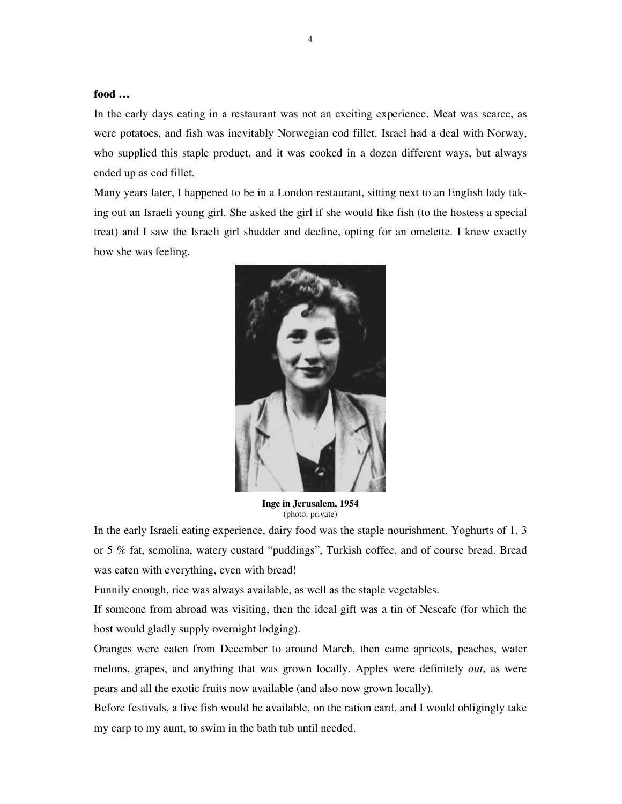# **food …**

In the early days eating in a restaurant was not an exciting experience. Meat was scarce, as were potatoes, and fish was inevitably Norwegian cod fillet. Israel had a deal with Norway, who supplied this staple product, and it was cooked in a dozen different ways, but always ended up as cod fillet.

Many years later, I happened to be in a London restaurant, sitting next to an English lady taking out an Israeli young girl. She asked the girl if she would like fish (to the hostess a special treat) and I saw the Israeli girl shudder and decline, opting for an omelette. I knew exactly how she was feeling.



**Inge in Jerusalem, 1954**  (photo: private)

In the early Israeli eating experience, dairy food was the staple nourishment. Yoghurts of 1, 3 or 5 % fat, semolina, watery custard "puddings", Turkish coffee, and of course bread. Bread was eaten with everything, even with bread!

Funnily enough, rice was always available, as well as the staple vegetables.

If someone from abroad was visiting, then the ideal gift was a tin of Nescafe (for which the host would gladly supply overnight lodging).

Oranges were eaten from December to around March, then came apricots, peaches, water melons, grapes, and anything that was grown locally. Apples were definitely *out*, as were pears and all the exotic fruits now available (and also now grown locally).

Before festivals, a live fish would be available, on the ration card, and I would obligingly take my carp to my aunt, to swim in the bath tub until needed.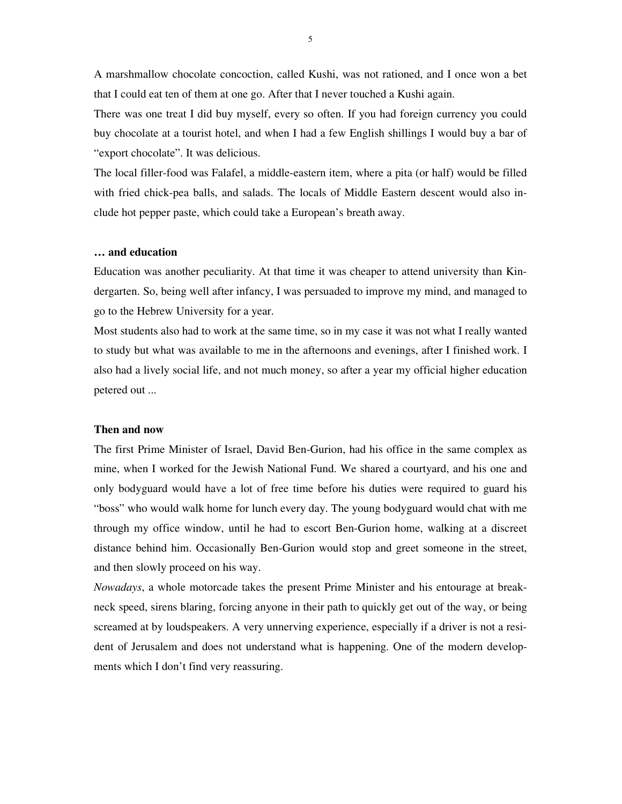A marshmallow chocolate concoction, called Kushi, was not rationed, and I once won a bet that I could eat ten of them at one go. After that I never touched a Kushi again.

There was one treat I did buy myself, every so often. If you had foreign currency you could buy chocolate at a tourist hotel, and when I had a few English shillings I would buy a bar of "export chocolate". It was delicious.

The local filler-food was Falafel, a middle-eastern item, where a pita (or half) would be filled with fried chick-pea balls, and salads. The locals of Middle Eastern descent would also include hot pepper paste, which could take a European's breath away.

## **… and education**

Education was another peculiarity. At that time it was cheaper to attend university than Kindergarten. So, being well after infancy, I was persuaded to improve my mind, and managed to go to the Hebrew University for a year.

Most students also had to work at the same time, so in my case it was not what I really wanted to study but what was available to me in the afternoons and evenings, after I finished work. I also had a lively social life, and not much money, so after a year my official higher education petered out ...

## **Then and now**

The first Prime Minister of Israel, David Ben-Gurion, had his office in the same complex as mine, when I worked for the Jewish National Fund. We shared a courtyard, and his one and only bodyguard would have a lot of free time before his duties were required to guard his "boss" who would walk home for lunch every day. The young bodyguard would chat with me through my office window, until he had to escort Ben-Gurion home, walking at a discreet distance behind him. Occasionally Ben-Gurion would stop and greet someone in the street, and then slowly proceed on his way.

*Nowadays*, a whole motorcade takes the present Prime Minister and his entourage at breakneck speed, sirens blaring, forcing anyone in their path to quickly get out of the way, or being screamed at by loudspeakers. A very unnerving experience, especially if a driver is not a resident of Jerusalem and does not understand what is happening. One of the modern developments which I don't find very reassuring.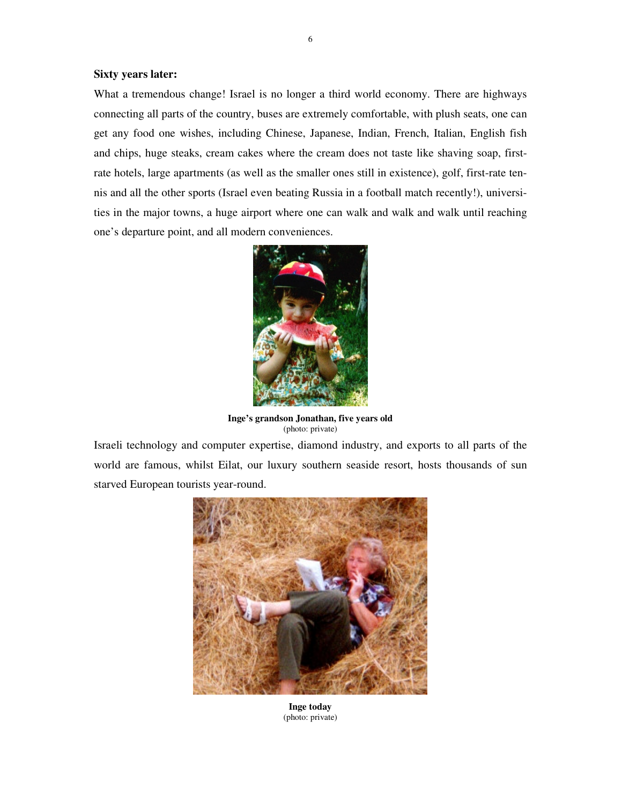## **Sixty years later:**

What a tremendous change! Israel is no longer a third world economy. There are highways connecting all parts of the country, buses are extremely comfortable, with plush seats, one can get any food one wishes, including Chinese, Japanese, Indian, French, Italian, English fish and chips, huge steaks, cream cakes where the cream does not taste like shaving soap, firstrate hotels, large apartments (as well as the smaller ones still in existence), golf, first-rate tennis and all the other sports (Israel even beating Russia in a football match recently!), universities in the major towns, a huge airport where one can walk and walk and walk until reaching one's departure point, and all modern conveniences.



**Inge's grandson Jonathan, five years old**  (photo: private)

Israeli technology and computer expertise, diamond industry, and exports to all parts of the world are famous, whilst Eilat, our luxury southern seaside resort, hosts thousands of sun starved European tourists year-round.



**Inge today**  (photo: private)